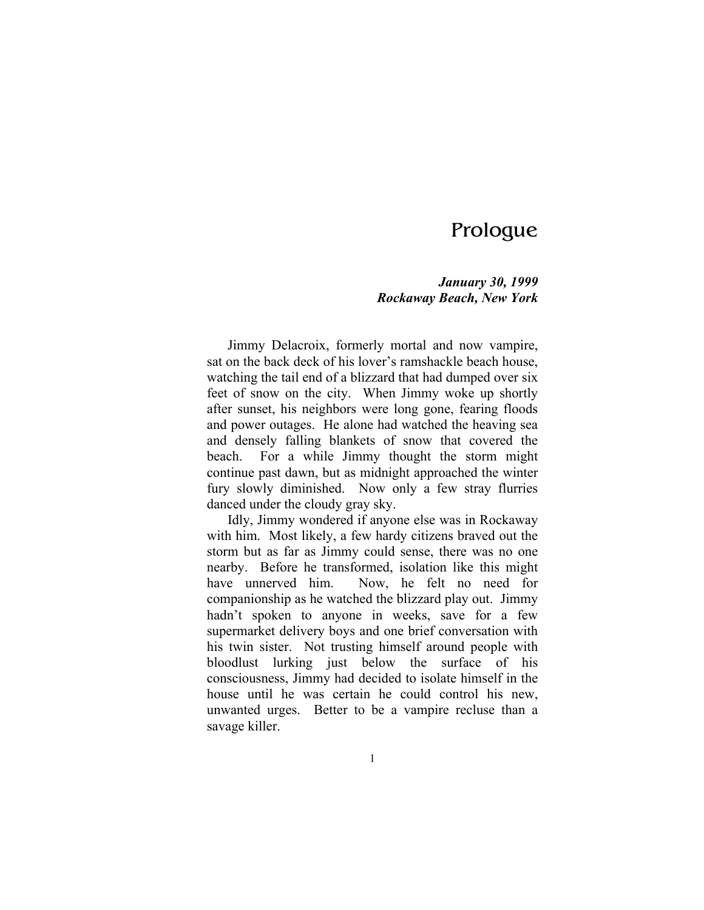# Prologue

# *January 30, 1999 Rockaway Beach, New York*

Jimmy Delacroix, formerly mortal and now vampire, sat on the back deck of his lover's ramshackle beach house, watching the tail end of a blizzard that had dumped over six feet of snow on the city. When Jimmy woke up shortly after sunset, his neighbors were long gone, fearing floods and power outages. He alone had watched the heaving sea and densely falling blankets of snow that covered the beach. For a while Jimmy thought the storm might continue past dawn, but as midnight approached the winter fury slowly diminished. Now only a few stray flurries danced under the cloudy gray sky.

Idly, Jimmy wondered if anyone else was in Rockaway with him. Most likely, a few hardy citizens braved out the storm but as far as Jimmy could sense, there was no one nearby. Before he transformed, isolation like this might have unnerved him. Now, he felt no need for companionship as he watched the blizzard play out. Jimmy hadn't spoken to anyone in weeks, save for a few supermarket delivery boys and one brief conversation with his twin sister. Not trusting himself around people with bloodlust lurking just below the surface of his consciousness, Jimmy had decided to isolate himself in the house until he was certain he could control his new, unwanted urges. Better to be a vampire recluse than a savage killer.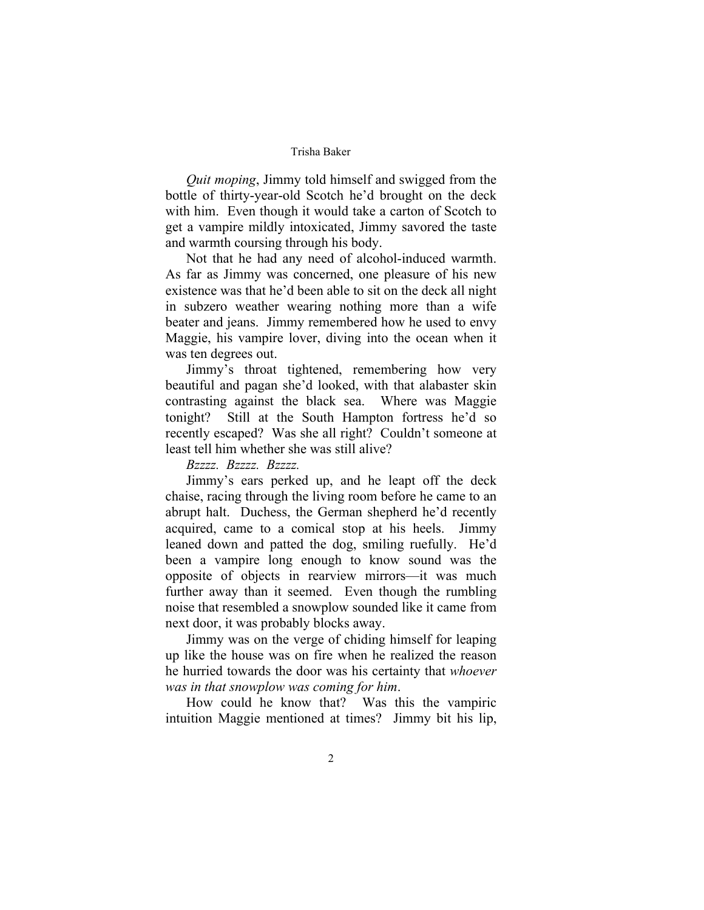*Quit moping*, Jimmy told himself and swigged from the bottle of thirty-year-old Scotch he'd brought on the deck with him. Even though it would take a carton of Scotch to get a vampire mildly intoxicated, Jimmy savored the taste and warmth coursing through his body.

Not that he had any need of alcohol-induced warmth. As far as Jimmy was concerned, one pleasure of his new existence was that he'd been able to sit on the deck all night in subzero weather wearing nothing more than a wife beater and jeans. Jimmy remembered how he used to envy Maggie, his vampire lover, diving into the ocean when it was ten degrees out.

Jimmy's throat tightened, remembering how very beautiful and pagan she'd looked, with that alabaster skin contrasting against the black sea. Where was Maggie tonight? Still at the South Hampton fortress he'd so recently escaped? Was she all right? Couldn't someone at least tell him whether she was still alive?

*Bzzzz. Bzzzz. Bzzzz.* 

Jimmy's ears perked up, and he leapt off the deck chaise, racing through the living room before he came to an abrupt halt. Duchess, the German shepherd he'd recently acquired, came to a comical stop at his heels. Jimmy leaned down and patted the dog, smiling ruefully. He'd been a vampire long enough to know sound was the opposite of objects in rearview mirrors—it was much further away than it seemed. Even though the rumbling noise that resembled a snowplow sounded like it came from next door, it was probably blocks away.

Jimmy was on the verge of chiding himself for leaping up like the house was on fire when he realized the reason he hurried towards the door was his certainty that *whoever was in that snowplow was coming for him*.

How could he know that? Was this the vampiric intuition Maggie mentioned at times? Jimmy bit his lip,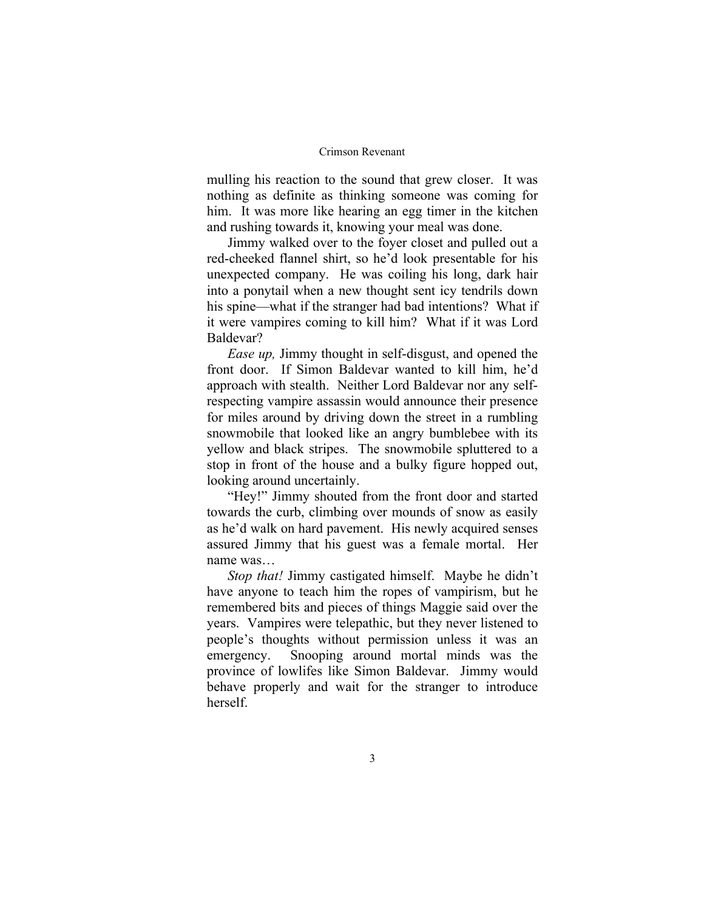mulling his reaction to the sound that grew closer. It was nothing as definite as thinking someone was coming for him. It was more like hearing an egg timer in the kitchen and rushing towards it, knowing your meal was done.

Jimmy walked over to the foyer closet and pulled out a red-cheeked flannel shirt, so he'd look presentable for his unexpected company. He was coiling his long, dark hair into a ponytail when a new thought sent icy tendrils down his spine—what if the stranger had bad intentions? What if it were vampires coming to kill him? What if it was Lord Baldevar?

*Ease up,* Jimmy thought in self-disgust, and opened the front door. If Simon Baldevar wanted to kill him, he'd approach with stealth. Neither Lord Baldevar nor any selfrespecting vampire assassin would announce their presence for miles around by driving down the street in a rumbling snowmobile that looked like an angry bumblebee with its yellow and black stripes. The snowmobile spluttered to a stop in front of the house and a bulky figure hopped out, looking around uncertainly.

"Hey!" Jimmy shouted from the front door and started towards the curb, climbing over mounds of snow as easily as he'd walk on hard pavement. His newly acquired senses assured Jimmy that his guest was a female mortal. Her name was…

*Stop that!* Jimmy castigated himself. Maybe he didn't have anyone to teach him the ropes of vampirism, but he remembered bits and pieces of things Maggie said over the years. Vampires were telepathic, but they never listened to people's thoughts without permission unless it was an emergency. Snooping around mortal minds was the province of lowlifes like Simon Baldevar. Jimmy would behave properly and wait for the stranger to introduce herself.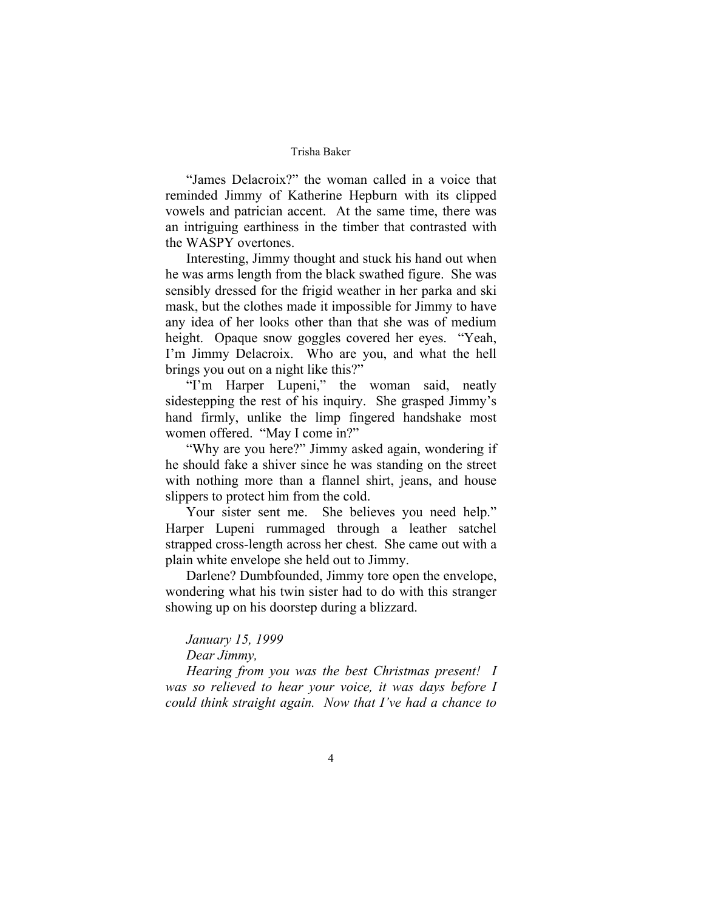"James Delacroix?" the woman called in a voice that reminded Jimmy of Katherine Hepburn with its clipped vowels and patrician accent. At the same time, there was an intriguing earthiness in the timber that contrasted with the WASPY overtones.

Interesting, Jimmy thought and stuck his hand out when he was arms length from the black swathed figure. She was sensibly dressed for the frigid weather in her parka and ski mask, but the clothes made it impossible for Jimmy to have any idea of her looks other than that she was of medium height. Opaque snow goggles covered her eyes. "Yeah, I'm Jimmy Delacroix. Who are you, and what the hell brings you out on a night like this?"

"I'm Harper Lupeni," the woman said, neatly sidestepping the rest of his inquiry. She grasped Jimmy's hand firmly, unlike the limp fingered handshake most women offered. "May I come in?"

"Why are you here?" Jimmy asked again, wondering if he should fake a shiver since he was standing on the street with nothing more than a flannel shirt, jeans, and house slippers to protect him from the cold.

Your sister sent me. She believes you need help." Harper Lupeni rummaged through a leather satchel strapped cross-length across her chest. She came out with a plain white envelope she held out to Jimmy.

Darlene? Dumbfounded, Jimmy tore open the envelope, wondering what his twin sister had to do with this stranger showing up on his doorstep during a blizzard.

# *January 15, 1999 Dear Jimmy,*

*Hearing from you was the best Christmas present! I was so relieved to hear your voice, it was days before I could think straight again. Now that I've had a chance to*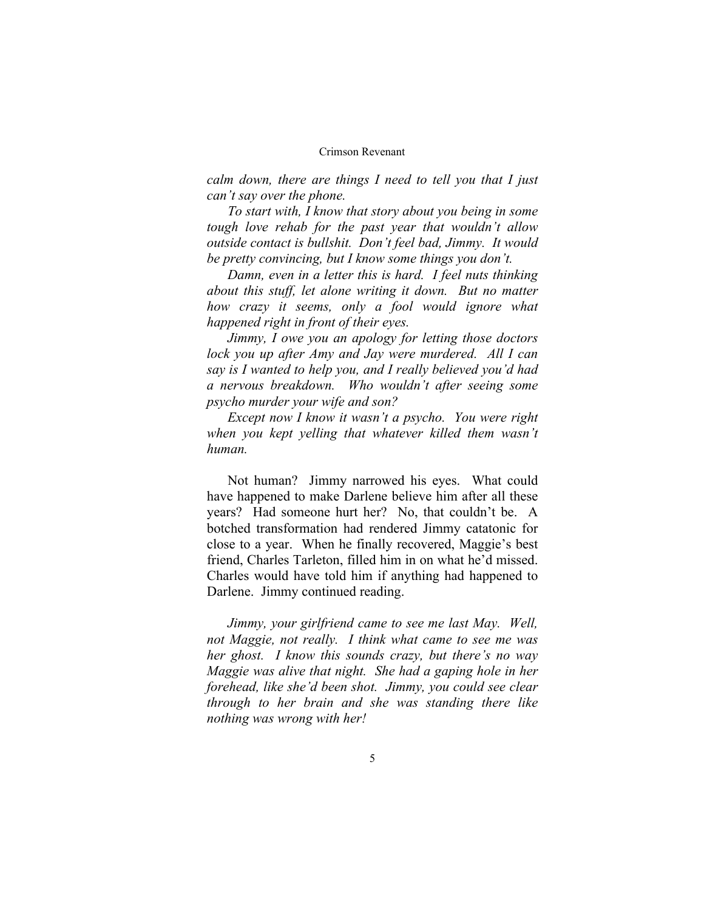*calm down, there are things I need to tell you that I just can't say over the phone.* 

*To start with, I know that story about you being in some tough love rehab for the past year that wouldn't allow outside contact is bullshit. Don't feel bad, Jimmy. It would be pretty convincing, but I know some things you don't.* 

*Damn, even in a letter this is hard. I feel nuts thinking about this stuff, let alone writing it down. But no matter how crazy it seems, only a fool would ignore what happened right in front of their eyes.* 

*Jimmy, I owe you an apology for letting those doctors lock you up after Amy and Jay were murdered. All I can say is I wanted to help you, and I really believed you'd had a nervous breakdown. Who wouldn't after seeing some psycho murder your wife and son?* 

*Except now I know it wasn't a psycho. You were right when you kept yelling that whatever killed them wasn't human.* 

Not human? Jimmy narrowed his eyes. What could have happened to make Darlene believe him after all these years? Had someone hurt her? No, that couldn't be. A botched transformation had rendered Jimmy catatonic for close to a year. When he finally recovered, Maggie's best friend, Charles Tarleton, filled him in on what he'd missed. Charles would have told him if anything had happened to Darlene. Jimmy continued reading.

*Jimmy, your girlfriend came to see me last May. Well, not Maggie, not really. I think what came to see me was her ghost. I know this sounds crazy, but there's no way Maggie was alive that night. She had a gaping hole in her forehead, like she'd been shot. Jimmy, you could see clear through to her brain and she was standing there like nothing was wrong with her!*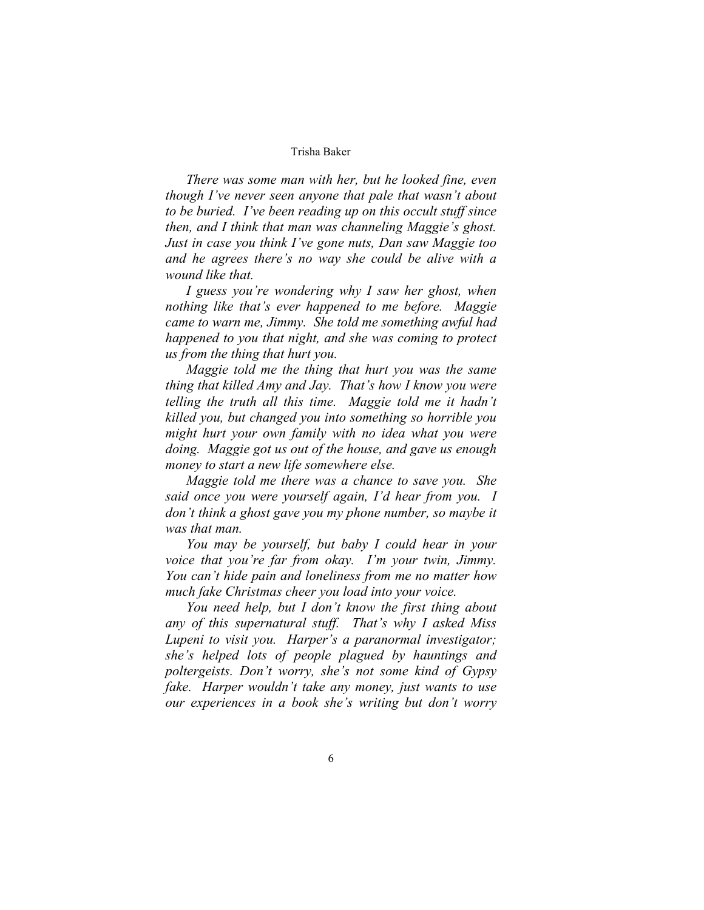*There was some man with her, but he looked fine, even though I've never seen anyone that pale that wasn't about to be buried. I've been reading up on this occult stuff since then, and I think that man was channeling Maggie's ghost. Just in case you think I've gone nuts, Dan saw Maggie too and he agrees there's no way she could be alive with a wound like that.* 

*I guess you're wondering why I saw her ghost, when nothing like that's ever happened to me before. Maggie came to warn me, Jimmy. She told me something awful had happened to you that night, and she was coming to protect us from the thing that hurt you.* 

*Maggie told me the thing that hurt you was the same thing that killed Amy and Jay. That's how I know you were telling the truth all this time. Maggie told me it hadn't killed you, but changed you into something so horrible you might hurt your own family with no idea what you were doing. Maggie got us out of the house, and gave us enough money to start a new life somewhere else.* 

*Maggie told me there was a chance to save you. She said once you were yourself again, I'd hear from you. I don't think a ghost gave you my phone number, so maybe it was that man.* 

*You may be yourself, but baby I could hear in your voice that you're far from okay. I'm your twin, Jimmy. You can't hide pain and loneliness from me no matter how much fake Christmas cheer you load into your voice.* 

*You need help, but I don't know the first thing about any of this supernatural stuff. That's why I asked Miss Lupeni to visit you. Harper's a paranormal investigator; she's helped lots of people plagued by hauntings and poltergeists. Don't worry, she's not some kind of Gypsy fake. Harper wouldn't take any money, just wants to use our experiences in a book she's writing but don't worry*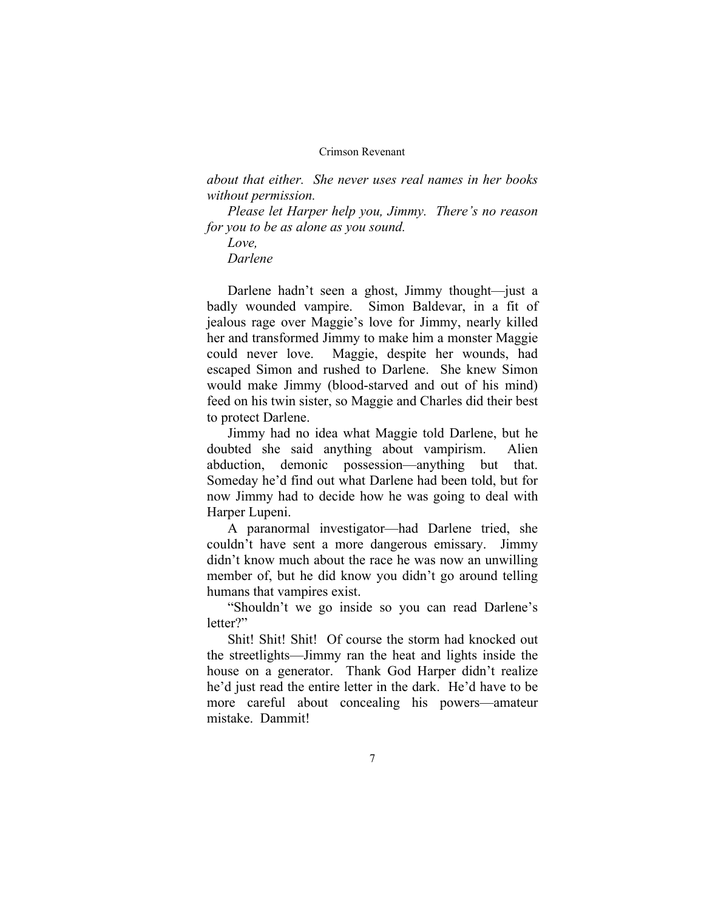*about that either. She never uses real names in her books without permission.* 

*Please let Harper help you, Jimmy. There's no reason for you to be as alone as you sound.* 

*Love, Darlene* 

Darlene hadn't seen a ghost, Jimmy thought—just a badly wounded vampire. Simon Baldevar, in a fit of jealous rage over Maggie's love for Jimmy, nearly killed her and transformed Jimmy to make him a monster Maggie could never love. Maggie, despite her wounds, had escaped Simon and rushed to Darlene. She knew Simon would make Jimmy (blood-starved and out of his mind) feed on his twin sister, so Maggie and Charles did their best to protect Darlene.

Jimmy had no idea what Maggie told Darlene, but he doubted she said anything about vampirism. Alien abduction, demonic possession—anything but that. Someday he'd find out what Darlene had been told, but for now Jimmy had to decide how he was going to deal with Harper Lupeni.

A paranormal investigator—had Darlene tried, she couldn't have sent a more dangerous emissary. Jimmy didn't know much about the race he was now an unwilling member of, but he did know you didn't go around telling humans that vampires exist.

"Shouldn't we go inside so you can read Darlene's letter?"

Shit! Shit! Shit! Of course the storm had knocked out the streetlights—Jimmy ran the heat and lights inside the house on a generator. Thank God Harper didn't realize he'd just read the entire letter in the dark. He'd have to be more careful about concealing his powers—amateur mistake. Dammit!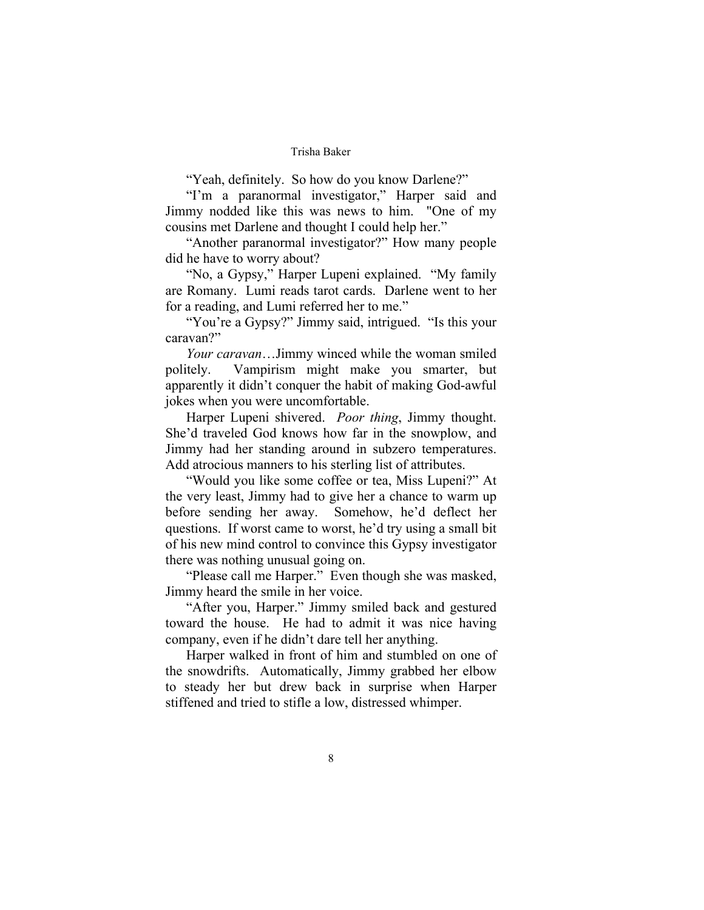"Yeah, definitely. So how do you know Darlene?"

"I'm a paranormal investigator," Harper said and Jimmy nodded like this was news to him. "One of my cousins met Darlene and thought I could help her."

"Another paranormal investigator?" How many people did he have to worry about?

"No, a Gypsy," Harper Lupeni explained. "My family are Romany. Lumi reads tarot cards. Darlene went to her for a reading, and Lumi referred her to me."

"You're a Gypsy?" Jimmy said, intrigued. "Is this your caravan?"

*Your caravan*…Jimmy winced while the woman smiled politely. Vampirism might make you smarter, but apparently it didn't conquer the habit of making God-awful jokes when you were uncomfortable.

Harper Lupeni shivered. *Poor thing*, Jimmy thought. She'd traveled God knows how far in the snowplow, and Jimmy had her standing around in subzero temperatures. Add atrocious manners to his sterling list of attributes.

"Would you like some coffee or tea, Miss Lupeni?" At the very least, Jimmy had to give her a chance to warm up before sending her away. Somehow, he'd deflect her questions. If worst came to worst, he'd try using a small bit of his new mind control to convince this Gypsy investigator there was nothing unusual going on.

"Please call me Harper." Even though she was masked, Jimmy heard the smile in her voice.

"After you, Harper." Jimmy smiled back and gestured toward the house. He had to admit it was nice having company, even if he didn't dare tell her anything.

Harper walked in front of him and stumbled on one of the snowdrifts. Automatically, Jimmy grabbed her elbow to steady her but drew back in surprise when Harper stiffened and tried to stifle a low, distressed whimper.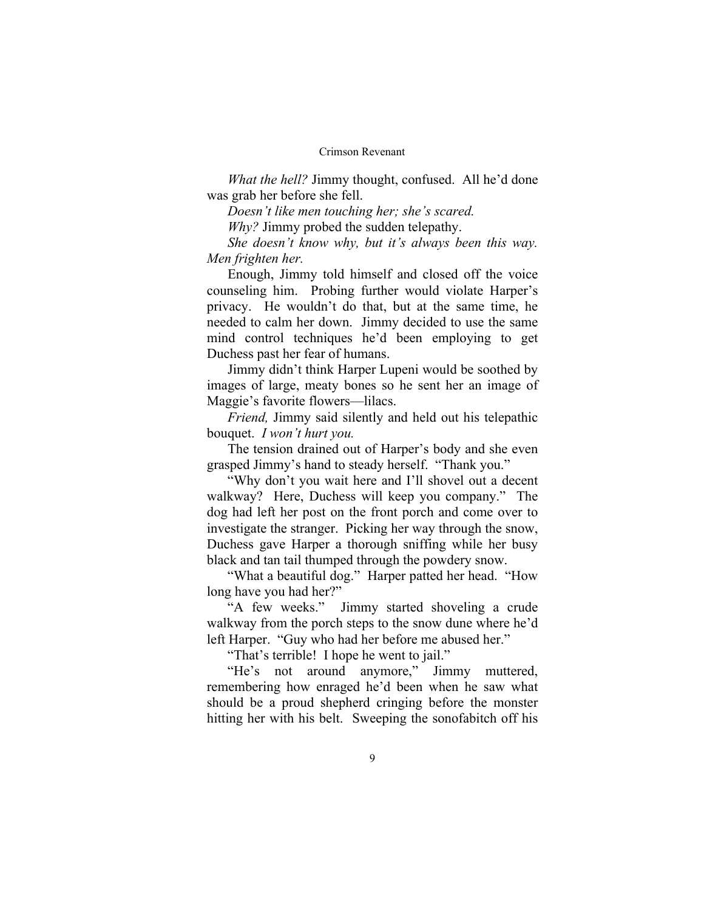*What the hell?* Jimmy thought, confused. All he'd done was grab her before she fell.

*Doesn't like men touching her; she's scared.* 

*Why?* Jimmy probed the sudden telepathy.

*She doesn't know why, but it's always been this way. Men frighten her.* 

Enough, Jimmy told himself and closed off the voice counseling him. Probing further would violate Harper's privacy. He wouldn't do that, but at the same time, he needed to calm her down. Jimmy decided to use the same mind control techniques he'd been employing to get Duchess past her fear of humans.

Jimmy didn't think Harper Lupeni would be soothed by images of large, meaty bones so he sent her an image of Maggie's favorite flowers—lilacs.

*Friend,* Jimmy said silently and held out his telepathic bouquet. *I won't hurt you.* 

The tension drained out of Harper's body and she even grasped Jimmy's hand to steady herself. "Thank you."

"Why don't you wait here and I'll shovel out a decent walkway? Here, Duchess will keep you company." The dog had left her post on the front porch and come over to investigate the stranger. Picking her way through the snow, Duchess gave Harper a thorough sniffing while her busy black and tan tail thumped through the powdery snow.

"What a beautiful dog." Harper patted her head. "How long have you had her?"

"A few weeks." Jimmy started shoveling a crude walkway from the porch steps to the snow dune where he'd left Harper. "Guy who had her before me abused her."

"That's terrible! I hope he went to jail."

"He's not around anymore," Jimmy muttered, remembering how enraged he'd been when he saw what should be a proud shepherd cringing before the monster hitting her with his belt. Sweeping the sonofabitch off his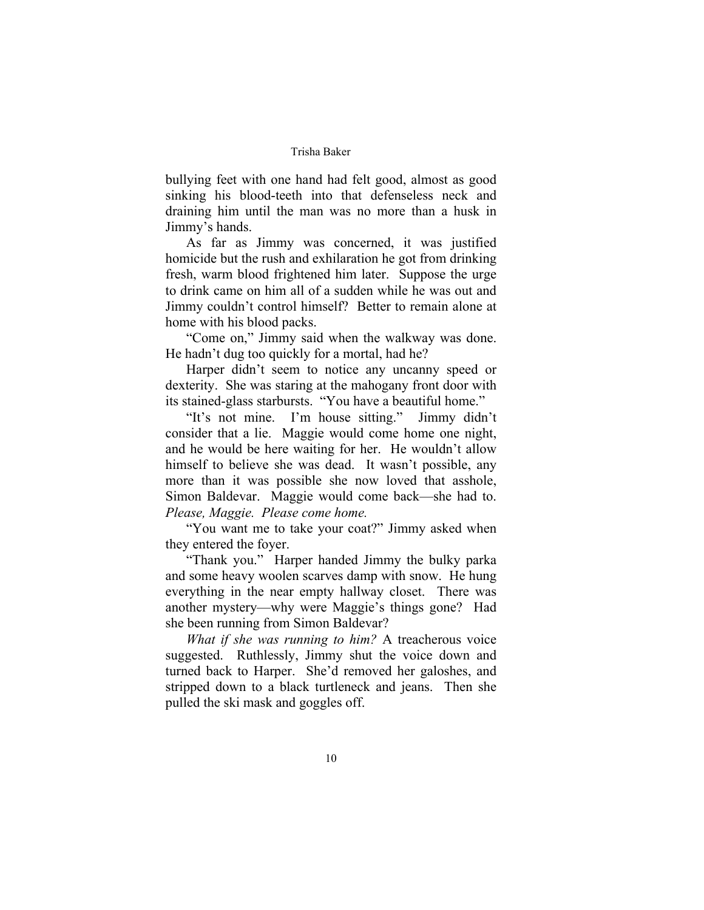bullying feet with one hand had felt good, almost as good sinking his blood-teeth into that defenseless neck and draining him until the man was no more than a husk in Jimmy's hands.

As far as Jimmy was concerned, it was justified homicide but the rush and exhilaration he got from drinking fresh, warm blood frightened him later. Suppose the urge to drink came on him all of a sudden while he was out and Jimmy couldn't control himself? Better to remain alone at home with his blood packs.

"Come on," Jimmy said when the walkway was done. He hadn't dug too quickly for a mortal, had he?

Harper didn't seem to notice any uncanny speed or dexterity. She was staring at the mahogany front door with its stained-glass starbursts. "You have a beautiful home."

"It's not mine. I'm house sitting." Jimmy didn't consider that a lie. Maggie would come home one night, and he would be here waiting for her. He wouldn't allow himself to believe she was dead. It wasn't possible, any more than it was possible she now loved that asshole, Simon Baldevar. Maggie would come back—she had to. *Please, Maggie. Please come home.* 

"You want me to take your coat?" Jimmy asked when they entered the foyer.

"Thank you." Harper handed Jimmy the bulky parka and some heavy woolen scarves damp with snow. He hung everything in the near empty hallway closet. There was another mystery—why were Maggie's things gone? Had she been running from Simon Baldevar?

*What if she was running to him?* A treacherous voice suggested. Ruthlessly, Jimmy shut the voice down and turned back to Harper. She'd removed her galoshes, and stripped down to a black turtleneck and jeans. Then she pulled the ski mask and goggles off.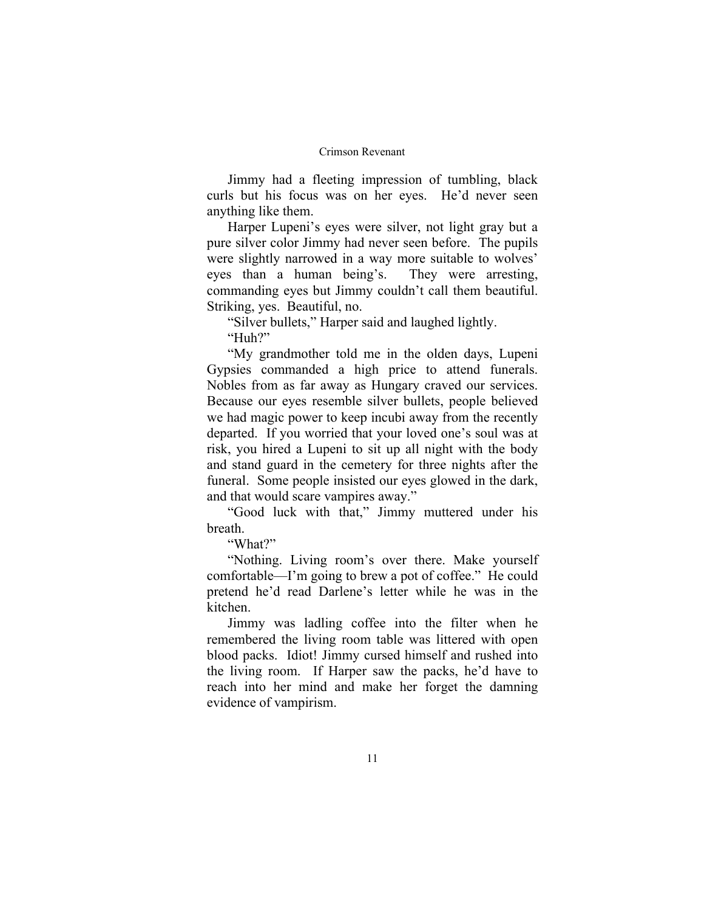Jimmy had a fleeting impression of tumbling, black curls but his focus was on her eyes. He'd never seen anything like them.

Harper Lupeni's eyes were silver, not light gray but a pure silver color Jimmy had never seen before. The pupils were slightly narrowed in a way more suitable to wolves' eyes than a human being's. They were arresting, commanding eyes but Jimmy couldn't call them beautiful. Striking, yes. Beautiful, no.

"Silver bullets," Harper said and laughed lightly.

"Huh?"

"My grandmother told me in the olden days, Lupeni Gypsies commanded a high price to attend funerals. Nobles from as far away as Hungary craved our services. Because our eyes resemble silver bullets, people believed we had magic power to keep incubi away from the recently departed. If you worried that your loved one's soul was at risk, you hired a Lupeni to sit up all night with the body and stand guard in the cemetery for three nights after the funeral. Some people insisted our eyes glowed in the dark, and that would scare vampires away."

"Good luck with that," Jimmy muttered under his breath.

"What?"

"Nothing. Living room's over there. Make yourself comfortable—I'm going to brew a pot of coffee." He could pretend he'd read Darlene's letter while he was in the kitchen.

Jimmy was ladling coffee into the filter when he remembered the living room table was littered with open blood packs. Idiot! Jimmy cursed himself and rushed into the living room. If Harper saw the packs, he'd have to reach into her mind and make her forget the damning evidence of vampirism.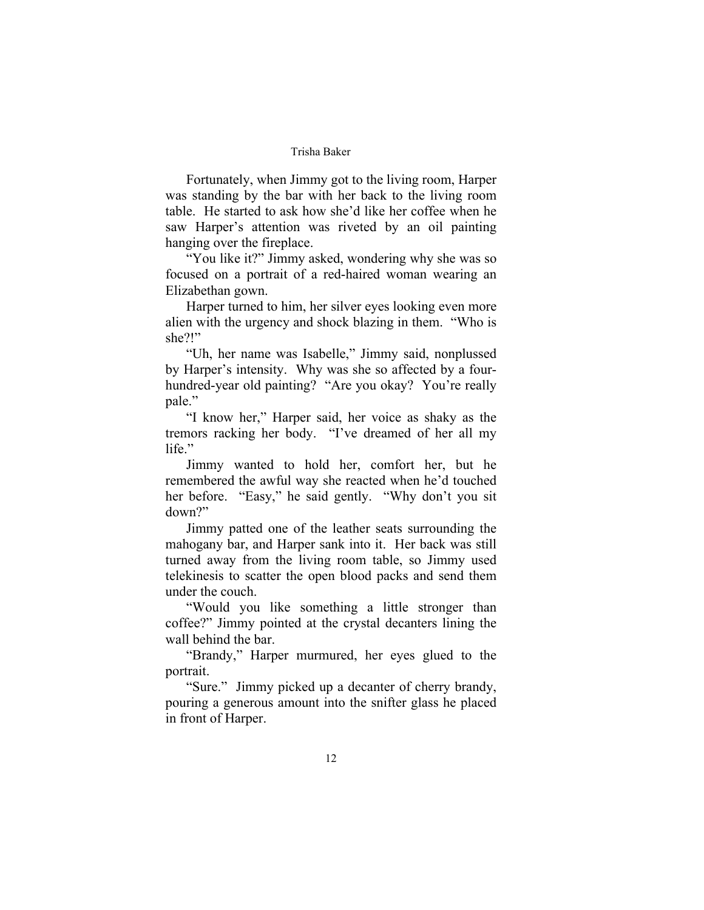Fortunately, when Jimmy got to the living room, Harper was standing by the bar with her back to the living room table. He started to ask how she'd like her coffee when he saw Harper's attention was riveted by an oil painting hanging over the fireplace.

"You like it?" Jimmy asked, wondering why she was so focused on a portrait of a red-haired woman wearing an Elizabethan gown.

Harper turned to him, her silver eyes looking even more alien with the urgency and shock blazing in them. "Who is she?!"

"Uh, her name was Isabelle," Jimmy said, nonplussed by Harper's intensity. Why was she so affected by a fourhundred-year old painting? "Are you okay? You're really pale."

"I know her," Harper said, her voice as shaky as the tremors racking her body. "I've dreamed of her all my life."

Jimmy wanted to hold her, comfort her, but he remembered the awful way she reacted when he'd touched her before. "Easy," he said gently. "Why don't you sit down?"

Jimmy patted one of the leather seats surrounding the mahogany bar, and Harper sank into it. Her back was still turned away from the living room table, so Jimmy used telekinesis to scatter the open blood packs and send them under the couch.

"Would you like something a little stronger than coffee?" Jimmy pointed at the crystal decanters lining the wall behind the bar.

"Brandy," Harper murmured, her eyes glued to the portrait.

"Sure." Jimmy picked up a decanter of cherry brandy, pouring a generous amount into the snifter glass he placed in front of Harper.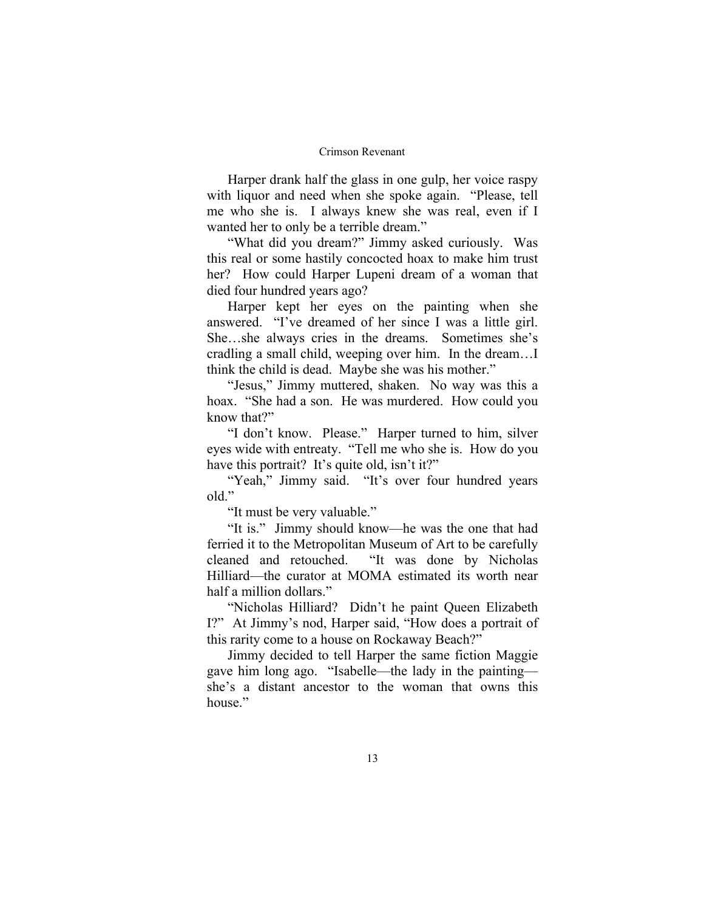Harper drank half the glass in one gulp, her voice raspy with liquor and need when she spoke again. "Please, tell me who she is. I always knew she was real, even if I wanted her to only be a terrible dream."

"What did you dream?" Jimmy asked curiously. Was this real or some hastily concocted hoax to make him trust her? How could Harper Lupeni dream of a woman that died four hundred years ago?

Harper kept her eyes on the painting when she answered. "I've dreamed of her since I was a little girl. She…she always cries in the dreams. Sometimes she's cradling a small child, weeping over him. In the dream…I think the child is dead. Maybe she was his mother."

"Jesus," Jimmy muttered, shaken. No way was this a hoax. "She had a son. He was murdered. How could you know that?"

"I don't know. Please." Harper turned to him, silver eyes wide with entreaty. "Tell me who she is. How do you have this portrait? It's quite old, isn't it?"

"Yeah," Jimmy said. "It's over four hundred years old."

"It must be very valuable."

"It is." Jimmy should know—he was the one that had ferried it to the Metropolitan Museum of Art to be carefully cleaned and retouched. "It was done by Nicholas Hilliard—the curator at MOMA estimated its worth near half a million dollars."

"Nicholas Hilliard? Didn't he paint Queen Elizabeth I?" At Jimmy's nod, Harper said, "How does a portrait of this rarity come to a house on Rockaway Beach?"

Jimmy decided to tell Harper the same fiction Maggie gave him long ago. "Isabelle—the lady in the painting she's a distant ancestor to the woman that owns this house."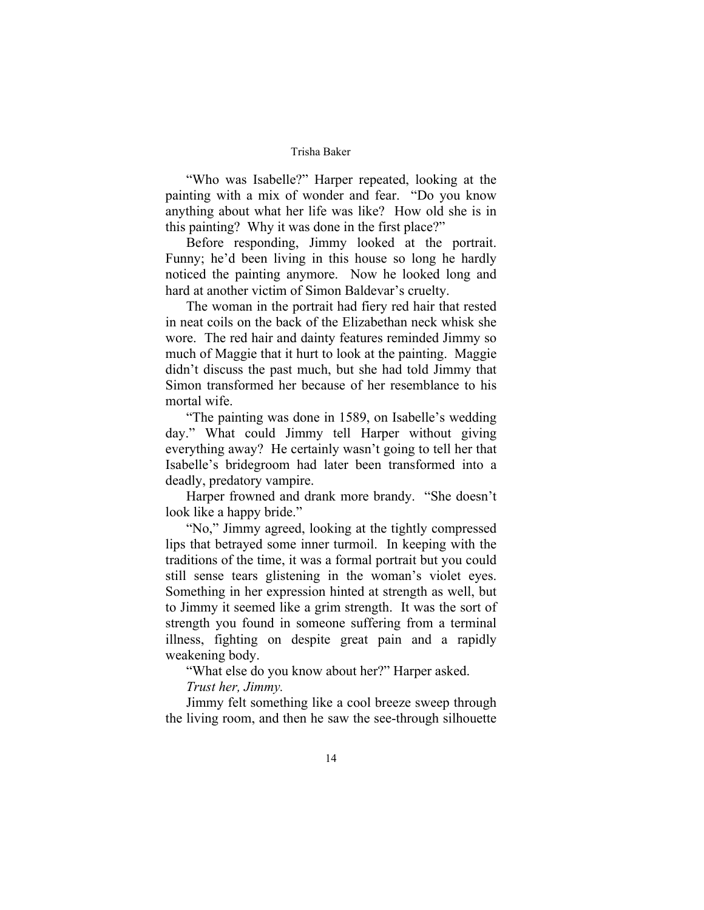"Who was Isabelle?" Harper repeated, looking at the painting with a mix of wonder and fear. "Do you know anything about what her life was like? How old she is in this painting? Why it was done in the first place?"

Before responding, Jimmy looked at the portrait. Funny; he'd been living in this house so long he hardly noticed the painting anymore. Now he looked long and hard at another victim of Simon Baldevar's cruelty.

The woman in the portrait had fiery red hair that rested in neat coils on the back of the Elizabethan neck whisk she wore. The red hair and dainty features reminded Jimmy so much of Maggie that it hurt to look at the painting. Maggie didn't discuss the past much, but she had told Jimmy that Simon transformed her because of her resemblance to his mortal wife.

"The painting was done in 1589, on Isabelle's wedding day." What could Jimmy tell Harper without giving everything away? He certainly wasn't going to tell her that Isabelle's bridegroom had later been transformed into a deadly, predatory vampire.

Harper frowned and drank more brandy. "She doesn't look like a happy bride."

"No," Jimmy agreed, looking at the tightly compressed lips that betrayed some inner turmoil. In keeping with the traditions of the time, it was a formal portrait but you could still sense tears glistening in the woman's violet eyes. Something in her expression hinted at strength as well, but to Jimmy it seemed like a grim strength. It was the sort of strength you found in someone suffering from a terminal illness, fighting on despite great pain and a rapidly weakening body.

"What else do you know about her?" Harper asked. *Trust her, Jimmy.* 

Jimmy felt something like a cool breeze sweep through the living room, and then he saw the see-through silhouette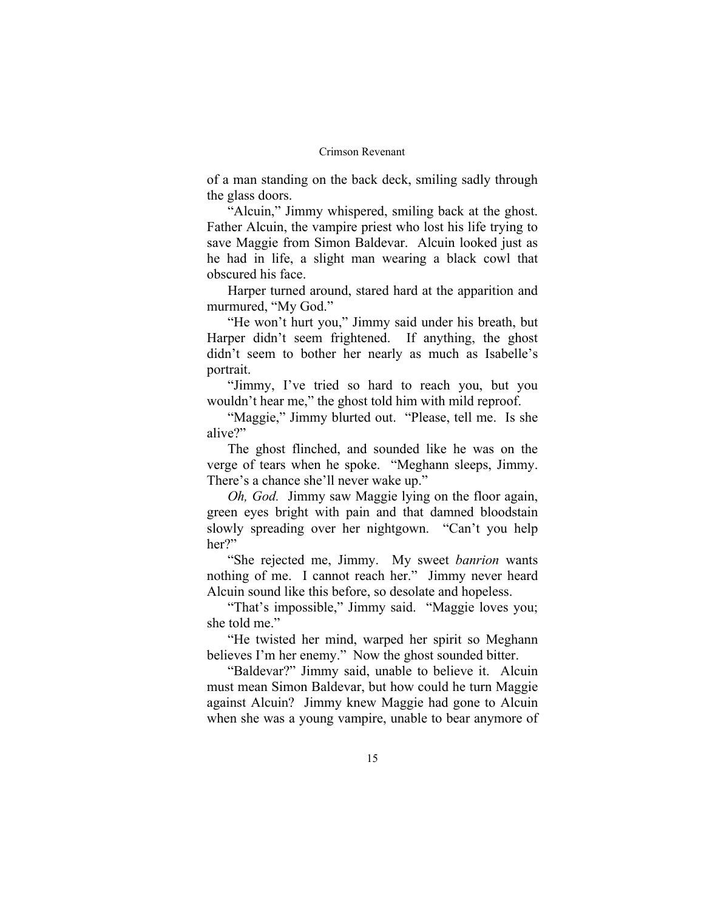of a man standing on the back deck, smiling sadly through the glass doors.

"Alcuin," Jimmy whispered, smiling back at the ghost. Father Alcuin, the vampire priest who lost his life trying to save Maggie from Simon Baldevar. Alcuin looked just as he had in life, a slight man wearing a black cowl that obscured his face.

Harper turned around, stared hard at the apparition and murmured, "My God."

"He won't hurt you," Jimmy said under his breath, but Harper didn't seem frightened. If anything, the ghost didn't seem to bother her nearly as much as Isabelle's portrait.

"Jimmy, I've tried so hard to reach you, but you wouldn't hear me," the ghost told him with mild reproof.

"Maggie," Jimmy blurted out. "Please, tell me. Is she alive?"

The ghost flinched, and sounded like he was on the verge of tears when he spoke. "Meghann sleeps, Jimmy. There's a chance she'll never wake up."

*Oh, God.* Jimmy saw Maggie lying on the floor again, green eyes bright with pain and that damned bloodstain slowly spreading over her nightgown. "Can't you help her?"

"She rejected me, Jimmy. My sweet *banrion* wants nothing of me. I cannot reach her." Jimmy never heard Alcuin sound like this before, so desolate and hopeless.

"That's impossible," Jimmy said. "Maggie loves you; she told me."

"He twisted her mind, warped her spirit so Meghann believes I'm her enemy." Now the ghost sounded bitter.

"Baldevar?" Jimmy said, unable to believe it. Alcuin must mean Simon Baldevar, but how could he turn Maggie against Alcuin? Jimmy knew Maggie had gone to Alcuin when she was a young vampire, unable to bear anymore of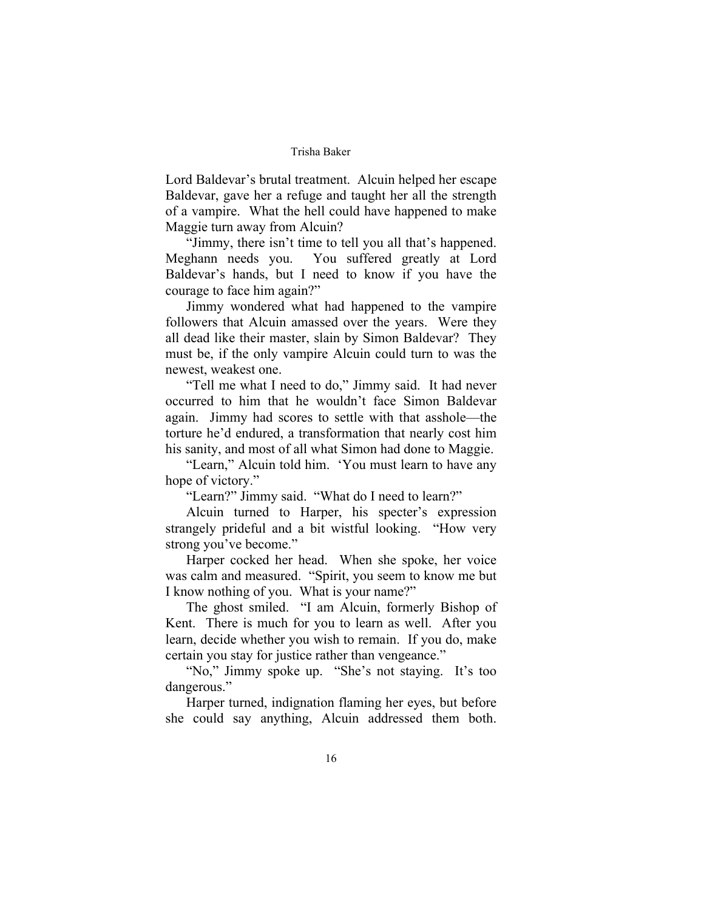Lord Baldevar's brutal treatment. Alcuin helped her escape Baldevar, gave her a refuge and taught her all the strength of a vampire. What the hell could have happened to make Maggie turn away from Alcuin?

"Jimmy, there isn't time to tell you all that's happened. Meghann needs you. You suffered greatly at Lord Baldevar's hands, but I need to know if you have the courage to face him again?"

Jimmy wondered what had happened to the vampire followers that Alcuin amassed over the years. Were they all dead like their master, slain by Simon Baldevar? They must be, if the only vampire Alcuin could turn to was the newest, weakest one.

"Tell me what I need to do," Jimmy said. It had never occurred to him that he wouldn't face Simon Baldevar again. Jimmy had scores to settle with that asshole—the torture he'd endured, a transformation that nearly cost him his sanity, and most of all what Simon had done to Maggie.

"Learn," Alcuin told him. 'You must learn to have any hope of victory."

"Learn?" Jimmy said. "What do I need to learn?"

Alcuin turned to Harper, his specter's expression strangely prideful and a bit wistful looking. "How very strong you've become."

Harper cocked her head. When she spoke, her voice was calm and measured. "Spirit, you seem to know me but I know nothing of you. What is your name?"

The ghost smiled. "I am Alcuin, formerly Bishop of Kent. There is much for you to learn as well. After you learn, decide whether you wish to remain. If you do, make certain you stay for justice rather than vengeance."

"No," Jimmy spoke up. "She's not staying. It's too dangerous."

Harper turned, indignation flaming her eyes, but before she could say anything, Alcuin addressed them both.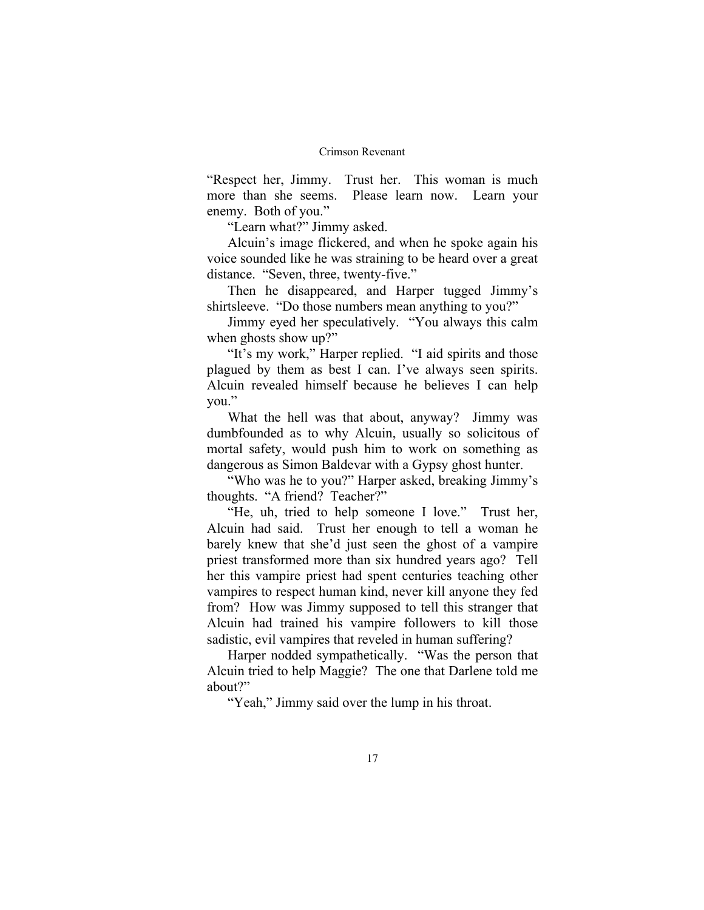"Respect her, Jimmy. Trust her. This woman is much more than she seems. Please learn now. Learn your enemy. Both of you."

"Learn what?" Jimmy asked.

Alcuin's image flickered, and when he spoke again his voice sounded like he was straining to be heard over a great distance. "Seven, three, twenty-five."

Then he disappeared, and Harper tugged Jimmy's shirtsleeve. "Do those numbers mean anything to you?"

Jimmy eyed her speculatively. "You always this calm when ghosts show up?"

"It's my work," Harper replied. "I aid spirits and those plagued by them as best I can. I've always seen spirits. Alcuin revealed himself because he believes I can help you."

What the hell was that about, anyway? Jimmy was dumbfounded as to why Alcuin, usually so solicitous of mortal safety, would push him to work on something as dangerous as Simon Baldevar with a Gypsy ghost hunter.

"Who was he to you?" Harper asked, breaking Jimmy's thoughts. "A friend? Teacher?"

"He, uh, tried to help someone I love." Trust her, Alcuin had said. Trust her enough to tell a woman he barely knew that she'd just seen the ghost of a vampire priest transformed more than six hundred years ago? Tell her this vampire priest had spent centuries teaching other vampires to respect human kind, never kill anyone they fed from? How was Jimmy supposed to tell this stranger that Alcuin had trained his vampire followers to kill those sadistic, evil vampires that reveled in human suffering?

Harper nodded sympathetically. "Was the person that Alcuin tried to help Maggie? The one that Darlene told me about?"

"Yeah," Jimmy said over the lump in his throat.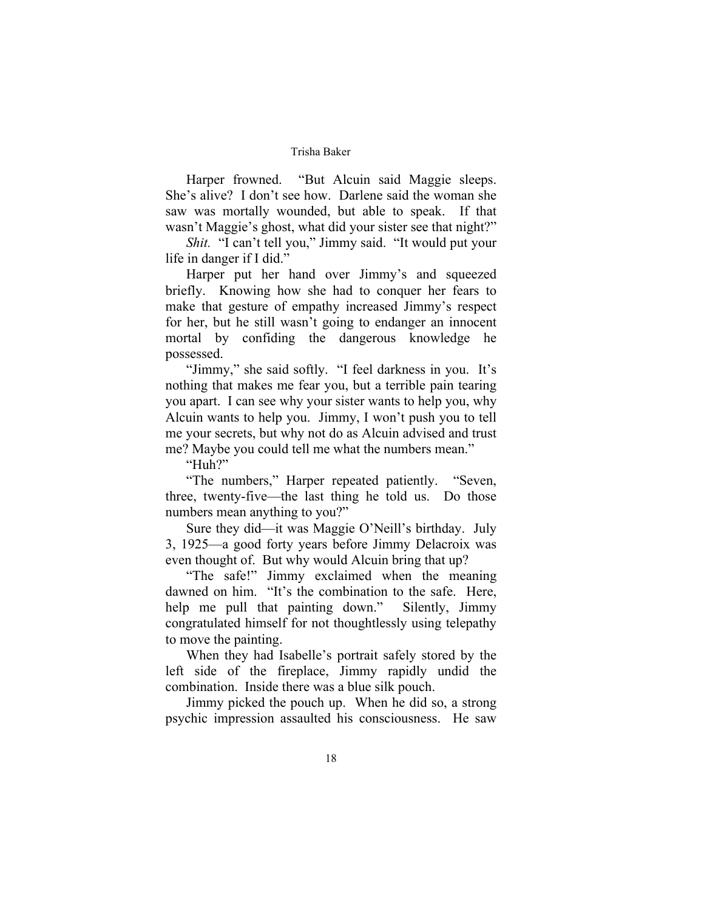Harper frowned. "But Alcuin said Maggie sleeps. She's alive? I don't see how. Darlene said the woman she saw was mortally wounded, but able to speak. If that wasn't Maggie's ghost, what did your sister see that night?"

*Shit.* "I can't tell you," Jimmy said. "It would put your life in danger if I did."

Harper put her hand over Jimmy's and squeezed briefly. Knowing how she had to conquer her fears to make that gesture of empathy increased Jimmy's respect for her, but he still wasn't going to endanger an innocent mortal by confiding the dangerous knowledge he possessed.

"Jimmy," she said softly. "I feel darkness in you. It's nothing that makes me fear you, but a terrible pain tearing you apart. I can see why your sister wants to help you, why Alcuin wants to help you. Jimmy, I won't push you to tell me your secrets, but why not do as Alcuin advised and trust me? Maybe you could tell me what the numbers mean."

"Huh?"

"The numbers," Harper repeated patiently. "Seven, three, twenty-five—the last thing he told us. Do those numbers mean anything to you?"

Sure they did—it was Maggie O'Neill's birthday. July 3, 1925—a good forty years before Jimmy Delacroix was even thought of. But why would Alcuin bring that up?

"The safe!" Jimmy exclaimed when the meaning dawned on him. "It's the combination to the safe. Here, help me pull that painting down." Silently, Jimmy congratulated himself for not thoughtlessly using telepathy to move the painting.

When they had Isabelle's portrait safely stored by the left side of the fireplace, Jimmy rapidly undid the combination. Inside there was a blue silk pouch.

Jimmy picked the pouch up. When he did so, a strong psychic impression assaulted his consciousness. He saw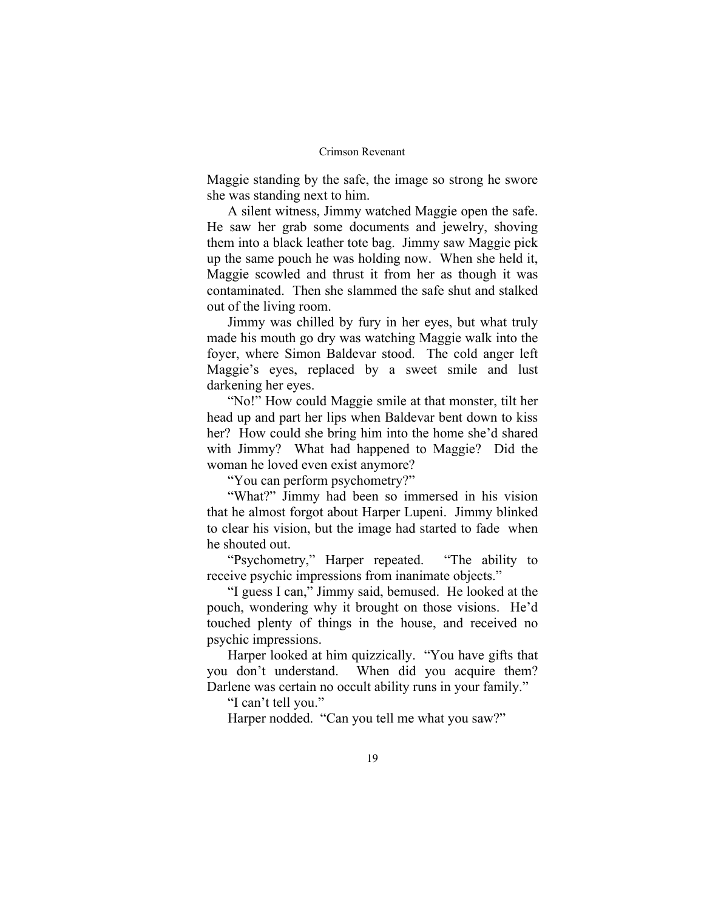Maggie standing by the safe, the image so strong he swore she was standing next to him.

A silent witness, Jimmy watched Maggie open the safe. He saw her grab some documents and jewelry, shoving them into a black leather tote bag. Jimmy saw Maggie pick up the same pouch he was holding now. When she held it, Maggie scowled and thrust it from her as though it was contaminated. Then she slammed the safe shut and stalked out of the living room.

Jimmy was chilled by fury in her eyes, but what truly made his mouth go dry was watching Maggie walk into the foyer, where Simon Baldevar stood. The cold anger left Maggie's eyes, replaced by a sweet smile and lust darkening her eyes.

"No!" How could Maggie smile at that monster, tilt her head up and part her lips when Baldevar bent down to kiss her? How could she bring him into the home she'd shared with Jimmy? What had happened to Maggie? Did the woman he loved even exist anymore?

"You can perform psychometry?"

"What?" Jimmy had been so immersed in his vision that he almost forgot about Harper Lupeni. Jimmy blinked to clear his vision, but the image had started to fade when he shouted out.

"Psychometry," Harper repeated. "The ability to receive psychic impressions from inanimate objects."

"I guess I can," Jimmy said, bemused. He looked at the pouch, wondering why it brought on those visions. He'd touched plenty of things in the house, and received no psychic impressions.

Harper looked at him quizzically. "You have gifts that you don't understand. When did you acquire them? Darlene was certain no occult ability runs in your family."

"I can't tell you."

Harper nodded. "Can you tell me what you saw?"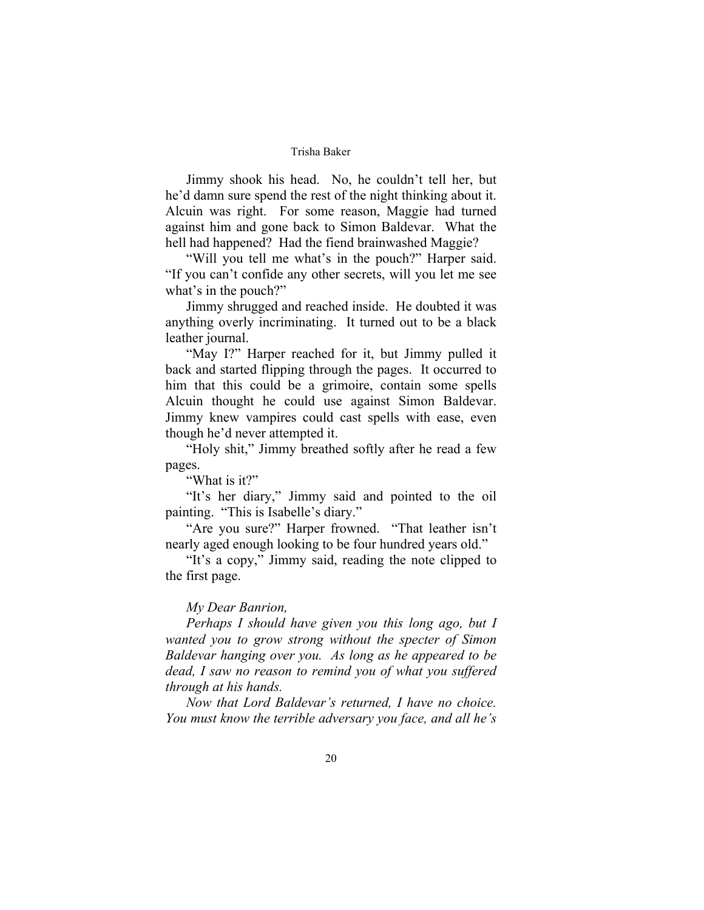Jimmy shook his head. No, he couldn't tell her, but he'd damn sure spend the rest of the night thinking about it. Alcuin was right. For some reason, Maggie had turned against him and gone back to Simon Baldevar. What the hell had happened? Had the fiend brainwashed Maggie?

"Will you tell me what's in the pouch?" Harper said. "If you can't confide any other secrets, will you let me see what's in the pouch?"

Jimmy shrugged and reached inside. He doubted it was anything overly incriminating. It turned out to be a black leather journal.

"May I?" Harper reached for it, but Jimmy pulled it back and started flipping through the pages. It occurred to him that this could be a grimoire, contain some spells Alcuin thought he could use against Simon Baldevar. Jimmy knew vampires could cast spells with ease, even though he'd never attempted it.

"Holy shit," Jimmy breathed softly after he read a few pages.

"What is it?"

"It's her diary," Jimmy said and pointed to the oil painting. "This is Isabelle's diary."

"Are you sure?" Harper frowned. "That leather isn't nearly aged enough looking to be four hundred years old."

"It's a copy," Jimmy said, reading the note clipped to the first page.

## *My Dear Banrion,*

*Perhaps I should have given you this long ago, but I wanted you to grow strong without the specter of Simon Baldevar hanging over you. As long as he appeared to be dead, I saw no reason to remind you of what you suffered through at his hands.* 

*Now that Lord Baldevar's returned, I have no choice. You must know the terrible adversary you face, and all he's*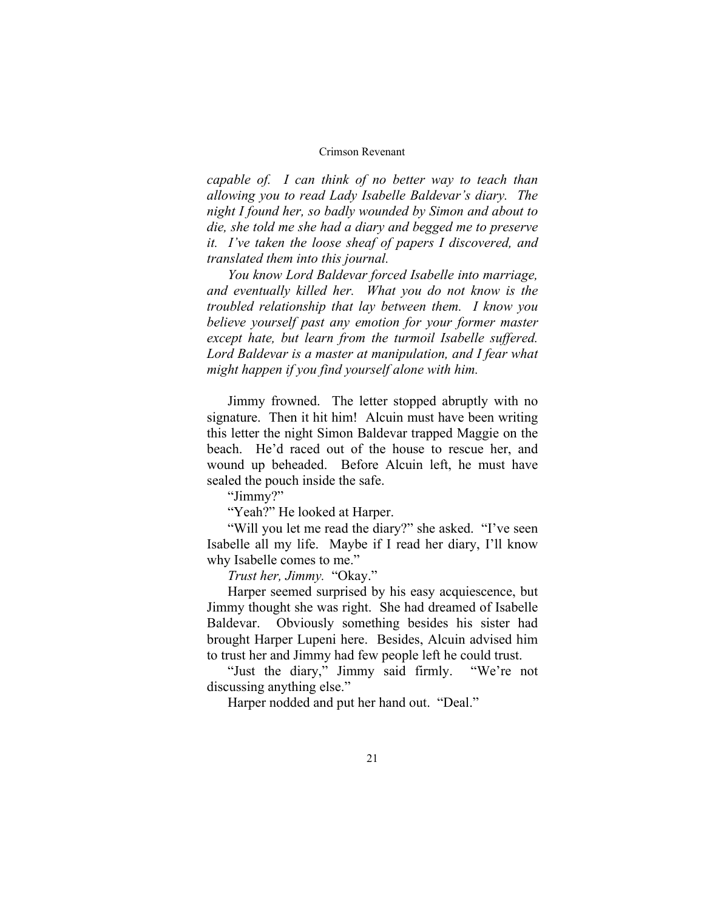*capable of. I can think of no better way to teach than allowing you to read Lady Isabelle Baldevar's diary. The night I found her, so badly wounded by Simon and about to die, she told me she had a diary and begged me to preserve it. I've taken the loose sheaf of papers I discovered, and translated them into this journal.* 

*You know Lord Baldevar forced Isabelle into marriage, and eventually killed her. What you do not know is the troubled relationship that lay between them. I know you believe yourself past any emotion for your former master except hate, but learn from the turmoil Isabelle suffered. Lord Baldevar is a master at manipulation, and I fear what might happen if you find yourself alone with him.* 

Jimmy frowned. The letter stopped abruptly with no signature. Then it hit him! Alcuin must have been writing this letter the night Simon Baldevar trapped Maggie on the beach. He'd raced out of the house to rescue her, and wound up beheaded. Before Alcuin left, he must have sealed the pouch inside the safe.

"Jimmy?"

"Yeah?" He looked at Harper.

"Will you let me read the diary?" she asked. "I've seen Isabelle all my life. Maybe if I read her diary, I'll know why Isabelle comes to me."

*Trust her, Jimmy.* "Okay."

Harper seemed surprised by his easy acquiescence, but Jimmy thought she was right. She had dreamed of Isabelle Baldevar. Obviously something besides his sister had brought Harper Lupeni here. Besides, Alcuin advised him to trust her and Jimmy had few people left he could trust.

"Just the diary," Jimmy said firmly. "We're not discussing anything else."

Harper nodded and put her hand out. "Deal."